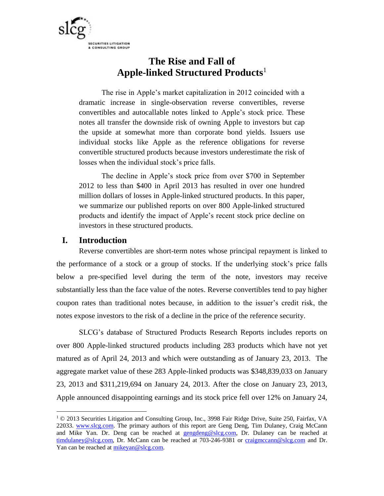

# **The Rise and Fall of Apple-linked Structured Products** 1

The rise in Apple's market capitalization in 2012 coincided with a dramatic increase in single-observation reverse convertibles, reverse convertibles and autocallable notes linked to Apple's stock price. These notes all transfer the downside risk of owning Apple to investors but cap the upside at somewhat more than corporate bond yields. Issuers use individual stocks like Apple as the reference obligations for reverse convertible structured products because investors underestimate the risk of losses when the individual stock's price falls.

The decline in Apple's stock price from over \$700 in September 2012 to less than \$400 in April 2013 has resulted in over one hundred million dollars of losses in Apple-linked structured products. In this paper, we summarize our published reports on over 800 Apple-linked structured products and identify the impact of Apple's recent stock price decline on investors in these structured products.

# **I. Introduction**

 $\overline{a}$ 

Reverse convertibles are short-term notes whose principal repayment is linked to the performance of a stock or a group of stocks. If the underlying stock's price falls below a pre-specified level during the term of the note, investors may receive substantially less than the face value of the notes. Reverse convertibles tend to pay higher coupon rates than traditional notes because, in addition to the issuer's credit risk, the notes expose investors to the risk of a decline in the price of the reference security.

SLCG's database of Structured Products Research Reports includes reports on over 800 Apple-linked structured products including 283 products which have not yet matured as of April 24, 2013 and which were outstanding as of January 23, 2013. The aggregate market value of these 283 Apple-linked products was \$348,839,033 on January 23, 2013 and \$311,219,694 on January 24, 2013. After the close on January 23, 2013, Apple announced disappointing earnings and its stock price fell over 12% on January 24,

 $1 \odot 2013$  Securities Litigation and Consulting Group, Inc., 3998 Fair Ridge Drive, Suite 250, Fairfax, VA 22033. [www.slcg.com.](http://www.slcg.com/) The primary authors of this report are Geng Deng, Tim Dulaney, Craig McCann and Mike Yan. Dr. Deng can be reached at [gengdeng@slcg.com,](mailto:gengdeng@slcg.com) Dr. Dulaney can be reached at [timdulaney@slcg.com,](mailto:timdulaney@slcg.com) Dr. McCann can be reached at 703-246-9381 or [craigmccann@slcg.com](mailto:craigmccann@slcg.com) and Dr. Yan can be reached at [mikeyan@slcg.com.](mailto:mikeyan@slcg.com)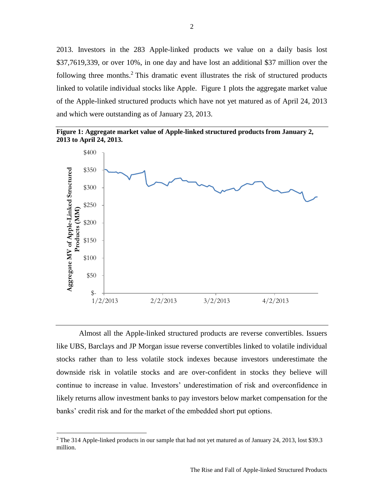2013. Investors in the 283 Apple-linked products we value on a daily basis lost \$37,7619,339, or over 10%, in one day and have lost an additional \$37 million over the following three months.<sup>2</sup> This dramatic event illustrates the risk of structured products linked to volatile individual stocks like Apple. Figure 1 plots the aggregate market value of the Apple-linked structured products which have not yet matured as of April 24, 2013 and which were outstanding as of January 23, 2013.





Almost all the Apple-linked structured products are reverse convertibles. Issuers like UBS, Barclays and JP Morgan issue reverse convertibles linked to volatile individual stocks rather than to less volatile stock indexes because investors underestimate the downside risk in volatile stocks and are over-confident in stocks they believe will continue to increase in value. Investors' underestimation of risk and overconfidence in likely returns allow investment banks to pay investors below market compensation for the banks' credit risk and for the market of the embedded short put options.

 $\overline{\phantom{a}}$ 

<sup>&</sup>lt;sup>2</sup> The 314 Apple-linked products in our sample that had not yet matured as of January 24, 2013, lost \$39.3 million.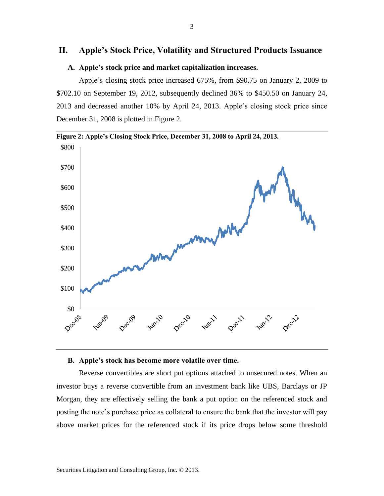# **II. Apple's Stock Price, Volatility and Structured Products Issuance**

#### **A. Apple's stock price and market capitalization increases.**

Apple's closing stock price increased 675%, from \$90.75 on January 2, 2009 to \$702.10 on September 19, 2012, subsequently declined 36% to \$450.50 on January 24, 2013 and decreased another 10% by April 24, 2013. Apple's closing stock price since December 31, 2008 is plotted in Figure 2.



## **B. Apple's stock has become more volatile over time.**

Reverse convertibles are short put options attached to unsecured notes. When an investor buys a reverse convertible from an investment bank like UBS, Barclays or JP Morgan, they are effectively selling the bank a put option on the referenced stock and posting the note's purchase price as collateral to ensure the bank that the investor will pay above market prices for the referenced stock if its price drops below some threshold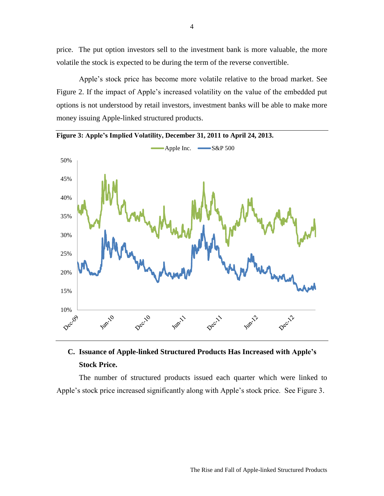price. The put option investors sell to the investment bank is more valuable, the more volatile the stock is expected to be during the term of the reverse convertible.

Apple's stock price has become more volatile relative to the broad market. See Figure 2. If the impact of Apple's increased volatility on the value of the embedded put options is not understood by retail investors, investment banks will be able to make more money issuing Apple-linked structured products.



**Figure 3: Apple's Implied Volatility, December 31, 2011 to April 24, 2013.**

# **C. Issuance of Apple-linked Structured Products Has Increased with Apple's Stock Price.**

The number of structured products issued each quarter which were linked to Apple's stock price increased significantly along with Apple's stock price. See Figure 3.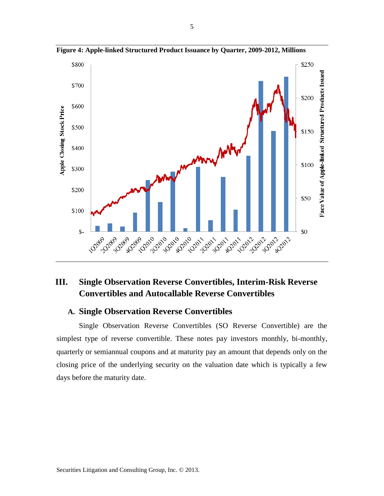

**Figure 4: Apple-linked Structured Product Issuance by Quarter, 2009-2012, Millions**

# **III. Single Observation Reverse Convertibles, Interim-Risk Reverse Convertibles and Autocallable Reverse Convertibles**

# **A. Single Observation Reverse Convertibles**

Single Observation Reverse Convertibles (SO Reverse Convertible) are the simplest type of reverse convertible. These notes pay investors monthly, bi-monthly, quarterly or semiannual coupons and at maturity pay an amount that depends only on the closing price of the underlying security on the valuation date which is typically a few days before the maturity date.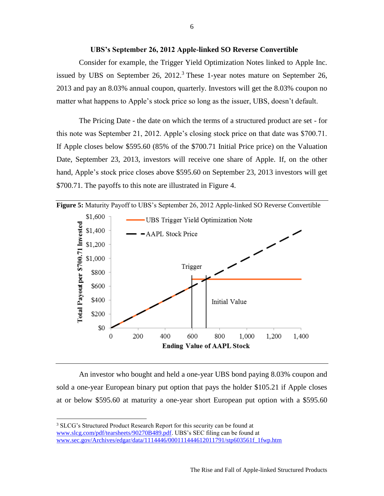#### **UBS's September 26, 2012 Apple-linked SO Reverse Convertible**

Consider for example, the Trigger Yield Optimization Notes linked to Apple Inc. issued by UBS on September 26,  $2012<sup>3</sup>$  These 1-year notes mature on September 26, 2013 and pay an 8.03% annual coupon, quarterly. Investors will get the 8.03% coupon no matter what happens to Apple's stock price so long as the issuer, UBS, doesn't default.

The Pricing Date - the date on which the terms of a structured product are set - for this note was September 21, 2012. Apple's closing stock price on that date was \$700.71. If Apple closes below \$595.60 (85% of the \$700.71 Initial Price price) on the Valuation Date, September 23, 2013, investors will receive one share of Apple. If, on the other hand, Apple's stock price closes above \$595.60 on September 23, 2013 investors will get \$700.71. The payoffs to this note are illustrated in Figure 4.



An investor who bought and held a one-year UBS bond paying 8.03% coupon and sold a one-year European binary put option that pays the holder \$105.21 if Apple closes at or below \$595.60 at maturity a one-year short European put option with a \$595.60

 $\overline{\phantom{a}}$ 

<sup>&</sup>lt;sup>3</sup> SLCG's Structured Product Research Report for this security can be found at [www.slcg.com/pdf/tearsheets/90270B489.pdf.](http://www.slcg.com/pdf/tearsheets/90270B489.pdf) UBS's SEC filing can be found at [www.sec.gov/Archives/edgar/data/1114446/000111444612011791/stp603561f\\_1fwp.htm](http://www.sec.gov/Archives/edgar/data/1114446/000111444612011791/stp603561f_1fwp.htm)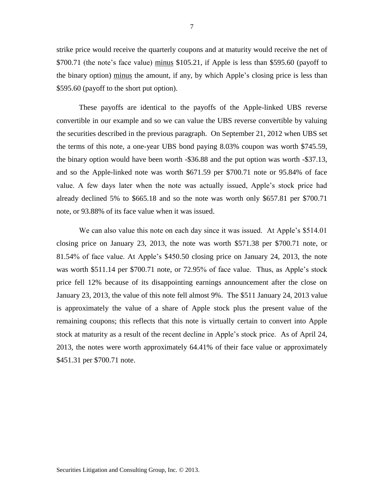strike price would receive the quarterly coupons and at maturity would receive the net of \$700.71 (the note's face value) minus \$105.21, if Apple is less than \$595.60 (payoff to the binary option) minus the amount, if any, by which Apple's closing price is less than \$595.60 (payoff to the short put option).

These payoffs are identical to the payoffs of the Apple-linked UBS reverse convertible in our example and so we can value the UBS reverse convertible by valuing the securities described in the previous paragraph. On September 21, 2012 when UBS set the terms of this note, a one-year UBS bond paying 8.03% coupon was worth \$745.59, the binary option would have been worth -\$36.88 and the put option was worth -\$37.13, and so the Apple-linked note was worth \$671.59 per \$700.71 note or 95.84% of face value. A few days later when the note was actually issued, Apple's stock price had already declined 5% to \$665.18 and so the note was worth only \$657.81 per \$700.71 note, or 93.88% of its face value when it was issued.

We can also value this note on each day since it was issued. At Apple's \$514.01 closing price on January 23, 2013, the note was worth \$571.38 per \$700.71 note, or 81.54% of face value. At Apple's \$450.50 closing price on January 24, 2013, the note was worth \$511.14 per \$700.71 note, or 72.95% of face value. Thus, as Apple's stock price fell 12% because of its disappointing earnings announcement after the close on January 23, 2013, the value of this note fell almost 9%. The \$511 January 24, 2013 value is approximately the value of a share of Apple stock plus the present value of the remaining coupons; this reflects that this note is virtually certain to convert into Apple stock at maturity as a result of the recent decline in Apple's stock price. As of April 24, 2013, the notes were worth approximately 64.41% of their face value or approximately \$451.31 per \$700.71 note.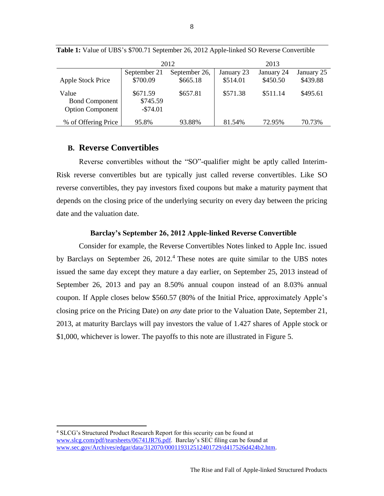|                          | 2012         |               | 2013       |            |            |
|--------------------------|--------------|---------------|------------|------------|------------|
|                          | September 21 | September 26, | January 23 | January 24 | January 25 |
| <b>Apple Stock Price</b> | \$700.09     | \$665.18      | \$514.01   | \$450.50   | \$439.88   |
| Value                    | \$671.59     | \$657.81      | \$571.38   | \$511.14   | \$495.61   |
| <b>Bond Component</b>    | \$745.59     |               |            |            |            |
| <b>Option Component</b>  | $-$74.01$    |               |            |            |            |
| % of Offering Price      | 95.8%        | 93.88%        | 81.54%     | 72.95%     | 70.73%     |

**Table 1:** Value of UBS's \$700.71 September 26, 2012 Apple-linked SO Reverse Convertible

## **B. Reverse Convertibles**

 $\overline{\phantom{a}}$ 

Reverse convertibles without the "SO"-qualifier might be aptly called Interim-Risk reverse convertibles but are typically just called reverse convertibles. Like SO reverse convertibles, they pay investors fixed coupons but make a maturity payment that depends on the closing price of the underlying security on every day between the pricing date and the valuation date.

#### **Barclay's September 26, 2012 Apple-linked Reverse Convertible**

Consider for example, the Reverse Convertibles Notes linked to Apple Inc. issued by Barclays on September 26, 2012.<sup>4</sup> These notes are quite similar to the UBS notes issued the same day except they mature a day earlier, on September 25, 2013 instead of September 26, 2013 and pay an 8.50% annual coupon instead of an 8.03% annual coupon. If Apple closes below \$560.57 (80% of the Initial Price, approximately Apple's closing price on the Pricing Date) on *any* date prior to the Valuation Date, September 21, 2013, at maturity Barclays will pay investors the value of 1.427 shares of Apple stock or \$1,000, whichever is lower. The payoffs to this note are illustrated in Figure 5.

<sup>4</sup> SLCG's Structured Product Research Report for this security can be found at [www.slcg.com/pdf/tearsheets/06741JR76.pdf.](http://www.slcg.com/pdf/tearsheets/06741JR76.pdf) Barclay's SEC filing can be found at [www.sec.gov/Archives/edgar/data/312070/000119312512401729/d417526d424b2.htm.](http://www.sec.gov/Archives/edgar/data/312070/000119312512401729/d417526d424b2.htm)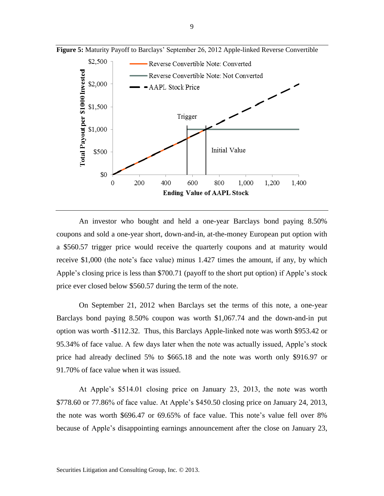

**Figure 5:** Maturity Payoff to Barclays' September 26, 2012 Apple-linked Reverse Convertible

An investor who bought and held a one-year Barclays bond paying 8.50% coupons and sold a one-year short, down-and-in, at-the-money European put option with a \$560.57 trigger price would receive the quarterly coupons and at maturity would receive \$1,000 (the note's face value) minus 1.427 times the amount, if any, by which Apple's closing price is less than \$700.71 (payoff to the short put option) if Apple's stock price ever closed below \$560.57 during the term of the note.

On September 21, 2012 when Barclays set the terms of this note, a one-year Barclays bond paying 8.50% coupon was worth \$1,067.74 and the down-and-in put option was worth -\$112.32. Thus, this Barclays Apple-linked note was worth \$953.42 or 95.34% of face value. A few days later when the note was actually issued, Apple's stock price had already declined 5% to \$665.18 and the note was worth only \$916.97 or 91.70% of face value when it was issued.

At Apple's \$514.01 closing price on January 23, 2013, the note was worth \$778.60 or 77.86% of face value. At Apple's \$450.50 closing price on January 24, 2013, the note was worth \$696.47 or 69.65% of face value. This note's value fell over 8% because of Apple's disappointing earnings announcement after the close on January 23,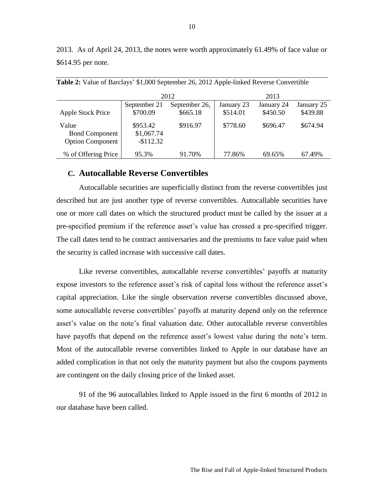2013. As of April 24, 2013, the notes were worth approximately 61.49% of face value or \$614.95 per note.

|                         |              | 2012          | 2013       |            |            |  |
|-------------------------|--------------|---------------|------------|------------|------------|--|
|                         | September 21 | September 26, | January 23 | January 24 | January 25 |  |
| Apple Stock Price       | \$700.09     | \$665.18      | \$514.01   | \$450.50   | \$439.88   |  |
| Value                   | \$953.42     | \$916.97      | \$778.60   | \$696.47   | \$674.94   |  |
| <b>Bond Component</b>   | \$1,067.74   |               |            |            |            |  |
| <b>Option Component</b> | $-$112.32$   |               |            |            |            |  |
| % of Offering Price     | 95.3%        | 91.70%        | 77.86%     | 69.65%     | 67.49%     |  |

**Table 2:** Value of Barclays' \$1,000 September 26, 2012 Apple-linked Reverse Convertible

## **C. Autocallable Reverse Convertibles**

Autocallable securities are superficially distinct from the reverse convertibles just described but are just another type of reverse convertibles. Autocallable securities have one or more call dates on which the structured product must be called by the issuer at a pre-specified premium if the reference asset's value has crossed a pre-specified trigger. The call dates tend to be contract anniversaries and the premiums to face value paid when the security is called increase with successive call dates.

Like reverse convertibles, autocallable reverse convertibles' payoffs at maturity expose investors to the reference asset's risk of capital loss without the reference asset's capital appreciation. Like the single observation reverse convertibles discussed above, some autocallable reverse convertibles' payoffs at maturity depend only on the reference asset's value on the note's final valuation date. Other autocallable reverse convertibles have payoffs that depend on the reference asset's lowest value during the note's term. Most of the autocallable reverse convertibles linked to Apple in our database have an added complication in that not only the maturity payment but also the coupons payments are contingent on the daily closing price of the linked asset.

91 of the 96 autocallables linked to Apple issued in the first 6 months of 2012 in our database have been called.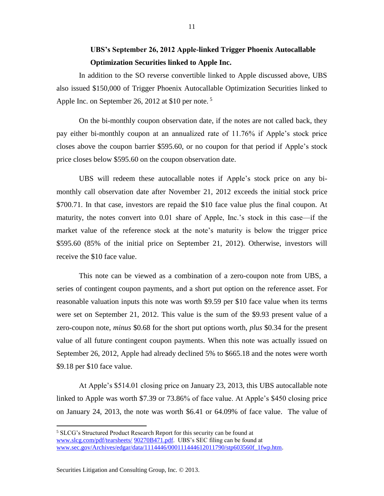# **UBS's September 26, 2012 Apple-linked Trigger Phoenix Autocallable Optimization Securities linked to Apple Inc.**

In addition to the SO reverse convertible linked to Apple discussed above, UBS also issued \$150,000 of Trigger Phoenix Autocallable Optimization Securities linked to Apple Inc. on September 26, 2012 at \$10 per note.<sup>5</sup>

On the bi-monthly coupon observation date, if the notes are not called back, they pay either bi-monthly coupon at an annualized rate of 11.76% if Apple's stock price closes above the coupon barrier \$595.60, or no coupon for that period if Apple's stock price closes below \$595.60 on the coupon observation date.

UBS will redeem these autocallable notes if Apple's stock price on any bimonthly call observation date after November 21, 2012 exceeds the initial stock price \$700.71. In that case, investors are repaid the \$10 face value plus the final coupon. At maturity, the notes convert into 0.01 share of Apple, Inc.'s stock in this case—if the market value of the reference stock at the note's maturity is below the trigger price \$595.60 (85% of the initial price on September 21, 2012). Otherwise, investors will receive the \$10 face value.

This note can be viewed as a combination of a zero-coupon note from UBS, a series of contingent coupon payments, and a short put option on the reference asset. For reasonable valuation inputs this note was worth \$9.59 per \$10 face value when its terms were set on September 21, 2012. This value is the sum of the \$9.93 present value of a zero-coupon note, *minus* \$0.68 for the short put options worth, *plus* \$0.34 for the present value of all future contingent coupon payments. When this note was actually issued on September 26, 2012, Apple had already declined 5% to \$665.18 and the notes were worth \$9.18 per \$10 face value.

At Apple's \$514.01 closing price on January 23, 2013, this UBS autocallable note linked to Apple was worth \$7.39 or 73.86% of face value. At Apple's \$450 closing price on January 24, 2013, the note was worth \$6.41 or 64.09% of face value. The value of

 $\overline{\phantom{a}}$ 

<sup>5</sup> SLCG's Structured Product Research Report for this security can be found at [www.slcg.com/pdf/tearsheets/](http://www.slcg.com/pdf/tearsheets/06741JR76.pdf) 90270B471.pdf. UBS's SEC filing can be found at [www.sec.gov/Archives/edgar/data/1114446/000111444612011790/stp603560f\\_1fwp.htm.](http://www.sec.gov/Archives/edgar/data/1114446/000111444612011790/stp603560f_1fwp.htm)